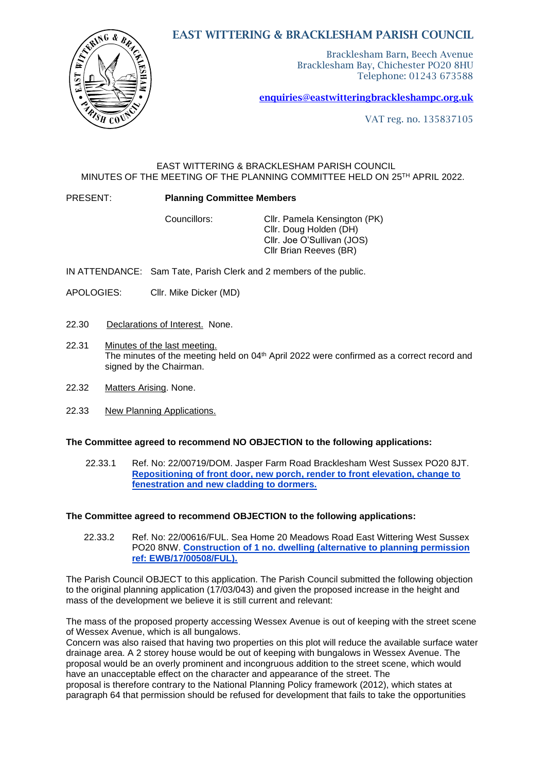# EAST WITTERING & BRACKLESHAM PARISH COUNCIL



Bracklesham Barn, Beech Avenue Bracklesham Bay, Chichester PO20 8HU Telephone: 01243 673588

[enquiries@eastwitteringb](mailto:enquiries@eastwittering)rackleshampc.org.uk

VAT reg. no. 135837105

### EAST WITTERING & BRACKLESHAM PARISH COUNCIL MINUTES OF THE MEETING OF THE PLANNING COMMITTEE HELD ON 25TH APRIL 2022.

#### PRESENT: **Planning Committee Members**

Councillors: Cllr. Pamela Kensington (PK) Cllr. Doug Holden (DH) Cllr. Joe O'Sullivan (JOS) Cllr Brian Reeves (BR)

IN ATTENDANCE: Sam Tate, Parish Clerk and 2 members of the public.

- APOLOGIES: Cllr. Mike Dicker (MD)
- 22.30 Declarations of Interest. None.
- 22.31 Minutes of the last meeting. The minutes of the meeting held on 04<sup>th</sup> April 2022 were confirmed as a correct record and signed by the Chairman.
- 22.32 Matters Arising. None.
- 22.33 New Planning Applications.

### **The Committee agreed to recommend NO OBJECTION to the following applications:**

22.33.1 Ref. No: 22/00719/DOM. Jasper Farm Road Bracklesham West Sussex PO20 8JT. **[Repositioning of front door, new porch, render to front elevation, change to](https://publicaccess.chichester.gov.uk/online-applications/applicationDetails.do?activeTab=summary&keyVal=R8XKZHERMCO00&prevPage=inTray)  [fenestration and new cladding](https://publicaccess.chichester.gov.uk/online-applications/applicationDetails.do?activeTab=summary&keyVal=R8XKZHERMCO00&prevPage=inTray) to dormers.**

#### **The Committee agreed to recommend OBJECTION to the following applications:**

22.33.2 Ref. No: 22/00616/FUL. Sea Home 20 Meadows Road East Wittering West Sussex PO20 8NW. **[Construction of 1 no. dwelling \(alternative to planning permission](https://publicaccess.chichester.gov.uk/online-applications/applicationDetails.do?activeTab=summary&keyVal=R8KWQXERM3F00&prevPage=inTray)  [ref: EWB/17/00508/FUL\).](https://publicaccess.chichester.gov.uk/online-applications/applicationDetails.do?activeTab=summary&keyVal=R8KWQXERM3F00&prevPage=inTray)**

The Parish Council OBJECT to this application. The Parish Council submitted the following objection to the original planning application (17/03/043) and given the proposed increase in the height and mass of the development we believe it is still current and relevant:

The mass of the proposed property accessing Wessex Avenue is out of keeping with the street scene of Wessex Avenue, which is all bungalows.

Concern was also raised that having two properties on this plot will reduce the available surface water drainage area. A 2 storey house would be out of keeping with bungalows in Wessex Avenue. The proposal would be an overly prominent and incongruous addition to the street scene, which would have an unacceptable effect on the character and appearance of the street. The

proposal is therefore contrary to the National Planning Policy framework (2012), which states at paragraph 64 that permission should be refused for development that fails to take the opportunities